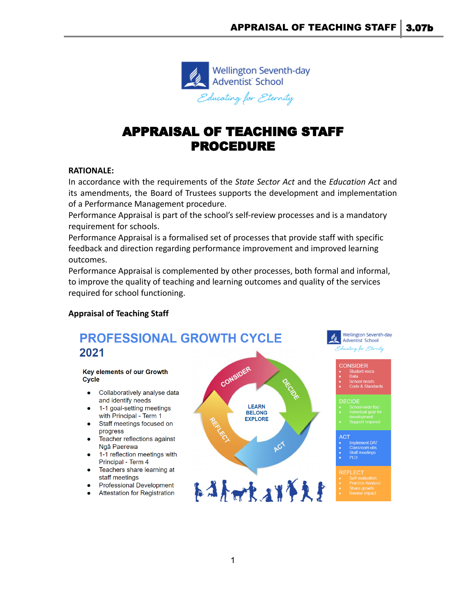

# APPRAISAL OF TEACHING STAFF PROCEDURE

#### **RATIONALE:**

In accordance with the requirements of the *State Sector Act* and the *Education Act* and its amendments, the Board of Trustees supports the development and implementation of a Performance Management procedure.

Performance Appraisal is part of the school's self-review processes and is a mandatory requirement for schools.

Performance Appraisal is a formalised set of processes that provide staff with specific feedback and direction regarding performance improvement and improved learning outcomes.

Performance Appraisal is complemented by other processes, both formal and informal, to improve the quality of teaching and learning outcomes and quality of the services required for school functioning.

## **Appraisal of Teaching Staff**

# PROFESSIONAL GROWTH CYCLE 2021

#### **Kev elements of our Growth Cycle**

- Collaboratively analyse data and identify needs
- 1-1 goal-setting meetings with Principal - Term 1
- Staff meetings focused on progress
- Teacher reflections against Ngā Paerewa
- 1-1 reflection meetings with Principal - Term 4
- Teachers share learning at staff meetings
- **Professional Development**
- **Attestation for Registration**

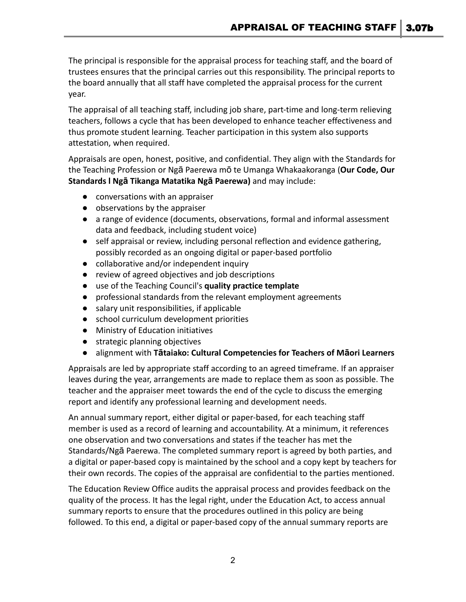The principal is responsible for the appraisal process for teaching staff, and the board of trustees ensures that the principal carries out this responsibility. The principal reports to the board annually that all staff have completed the appraisal process for the current year.

The appraisal of all teaching staff, including job share, part-time and long-term relieving teachers, follows a cycle that has been developed to enhance teacher effectiveness and thus promote student learning. Teacher participation in this system also supports attestation, when required.

Appraisals are open, honest, positive, and confidential. They align with the Standards for the Teaching Profession or Ngā Paerewa mō te Umanga Whakaakoranga (**[Our Code, Our](https://teachingcouncil.nz/professional-practice/our-code-our-standards/) Standards l Ngā [Tikanga Matatika Ng](https://teachingcouncil.nz/professional-practice/our-code-our-standards/)ā Paerewa)** and may include:

- conversations with an appraiser
- observations by the appraiser
- a range of evidence (documents, observations, formal and informal assessment data and feedback, including student voice)
- self appraisal or review, including personal reflection and evidence gathering, possibly recorded as an ongoing digital or paper-based portfolio
- collaborative and/or independent inquiry
- review of agreed objectives and job descriptions
- use of the Teaching Council's **[quality practice template](https://teachingcouncil.nz/content/appraisal)**
- professional standards from the relevant employment agreements
- salary unit responsibilities, if applicable
- school curriculum development priorities
- Ministry of Education initiatives
- strategic planning objectives
- alignment with **Tā[taiako: Cultural Competencies for](https://teachingcouncil.nz/resource-centre/tataiako-cultural-competencies-for-teachers-of-maori-learners/) Teachers of Māori Learners**

Appraisals are led by appropriate staff according to an agreed timeframe. If an appraiser leaves during the year, arrangements are made to replace them as soon as possible. The teacher and the appraiser meet towards the end of the cycle to discuss the emerging report and identify any professional learning and development needs.

An annual summary report, either digital or paper-based, for each teaching staff member is used as a record of learning and accountability. At a minimum, it references one observation and two conversations and states if the teacher has met the Standards/Ngā Paerewa. The completed summary report is agreed by both parties, and a digital or paper-based copy is maintained by the school and a copy kept by teachers for their own records. The copies of the appraisal are confidential to the parties mentioned.

The Education Review Office audits the appraisal process and provides feedback on the quality of the process. It has the legal right, under the Education Act, to access annual summary reports to ensure that the procedures outlined in this policy are being followed. To this end, a digital or paper-based copy of the annual summary reports are